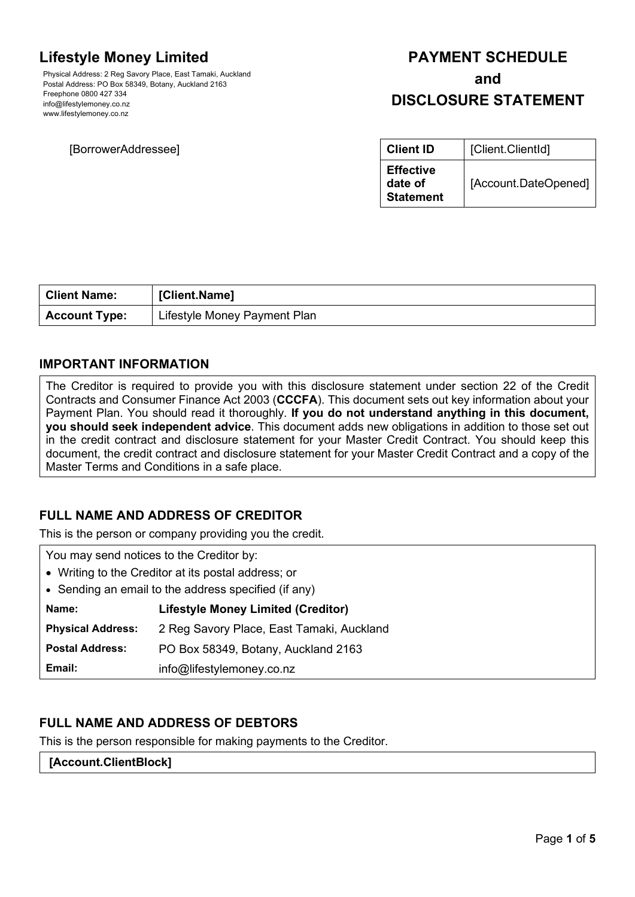# **Lifestyle Money Limited**

Physical Address: 2 Reg Savory Place, East Tamaki, Auckland Postal Address: PO Box 58349, Botany, Auckland 2163 Freephone 0800 427 334 info@lifestylemoney.co.nz www.lifestylemoney.co.nz

# **[BorrowerAddressee]**

# **PAYMENT SCHEDULE and**

# **DISCLOSURE STATEMENT**

| <b>Client ID</b>                                | [Client.ClientId]    |
|-------------------------------------------------|----------------------|
| <b>Effective</b><br>date of<br><b>Statement</b> | [Account.DateOpened] |

| <b>Client Name:</b>  | [Client.Name]                |
|----------------------|------------------------------|
| <b>Account Type:</b> | Lifestyle Money Payment Plan |

### **IMPORTANT INFORMATION**

The Creditor is required to provide you with this disclosure statement under section 22 of the Credit Contracts and Consumer Finance Act 2003 (**CCCFA**). This document sets out key information about your Payment Plan. You should read it thoroughly. **If you do not understand anything in this document, you should seek independent advice**. This document adds new obligations in addition to those set out in the credit contract and disclosure statement for your Master Credit Contract. You should keep this document, the credit contract and disclosure statement for your Master Credit Contract and a copy of the Master Terms and Conditions in a safe place.

# **FULL NAME AND ADDRESS OF CREDITOR**

This is the person or company providing you the credit.

You may send notices to the Creditor by: • Writing to the Creditor at its postal address; or • Sending an email to the address specified (if any) **Name: Lifestyle Money Limited (Creditor)**

**Physical Address:** 2 Reg Savory Place, East Tamaki, Auckland

**Postal Address:** PO Box 58349, Botany, Auckland 2163

**Email:** info@lifestylemoney.co.nz

# **FULL NAME AND ADDRESS OF DEBTORS**

This is the person responsible for making payments to the Creditor.

#### **[Account.ClientBlock]**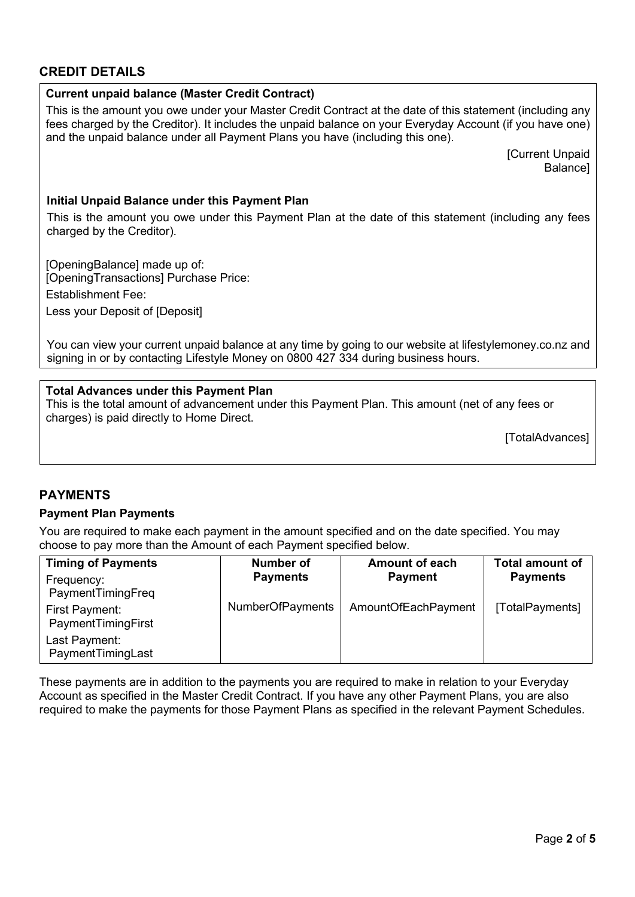## **CREDIT DETAILS**

| <b>Current unpaid balance (Master Credit Contract)</b>                                                                                                                                                                                                                                                 |  |  |
|--------------------------------------------------------------------------------------------------------------------------------------------------------------------------------------------------------------------------------------------------------------------------------------------------------|--|--|
| This is the amount you owe under your Master Credit Contract at the date of this statement (including any<br>fees charged by the Creditor). It includes the unpaid balance on your Everyday Account (if you have one)<br>and the unpaid balance under all Payment Plans you have (including this one). |  |  |
| [Current Unpaid<br>Balance]                                                                                                                                                                                                                                                                            |  |  |
| Initial Unpaid Balance under this Payment Plan                                                                                                                                                                                                                                                         |  |  |
| This is the amount you owe under this Payment Plan at the date of this statement (including any fees<br>charged by the Creditor).                                                                                                                                                                      |  |  |
| IOnoningRalancel made un of                                                                                                                                                                                                                                                                            |  |  |

[OpeningBalance] made up of: [OpeningTransactions] Purchase Price: Establishment Fee:

Less your Deposit of [Deposit]

You can view your current unpaid balance at any time by going to our website at lifestylemoney.co.nz and signing in or by contacting Lifestyle Money on 0800 427 334 during business hours.

### **Total Advances under this Payment Plan**

This is the total amount of advancement under this Payment Plan. This amount (net of any fees or charges) is paid directly to Home Direct.

[TotalAdvances]

### **PAYMENTS**

#### **Payment Plan Payments**

You are required to make each payment in the amount specified and on the date specified. You may choose to pay more than the Amount of each Payment specified below.

| <b>Timing of Payments</b><br>Frequency: | Number of<br><b>Payments</b> | <b>Amount of each</b><br><b>Payment</b> | <b>Total amount of</b><br><b>Payments</b> |
|-----------------------------------------|------------------------------|-----------------------------------------|-------------------------------------------|
| PaymentTimingFreq                       |                              |                                         |                                           |
| First Payment:<br>PaymentTimingFirst    | <b>NumberOfPayments</b>      | AmountOfEachPayment                     | [TotalPayments]                           |
| Last Payment:<br>PaymentTimingLast      |                              |                                         |                                           |

These payments are in addition to the payments you are required to make in relation to your Everyday Account as specified in the Master Credit Contract. If you have any other Payment Plans, you are also required to make the payments for those Payment Plans as specified in the relevant Payment Schedules.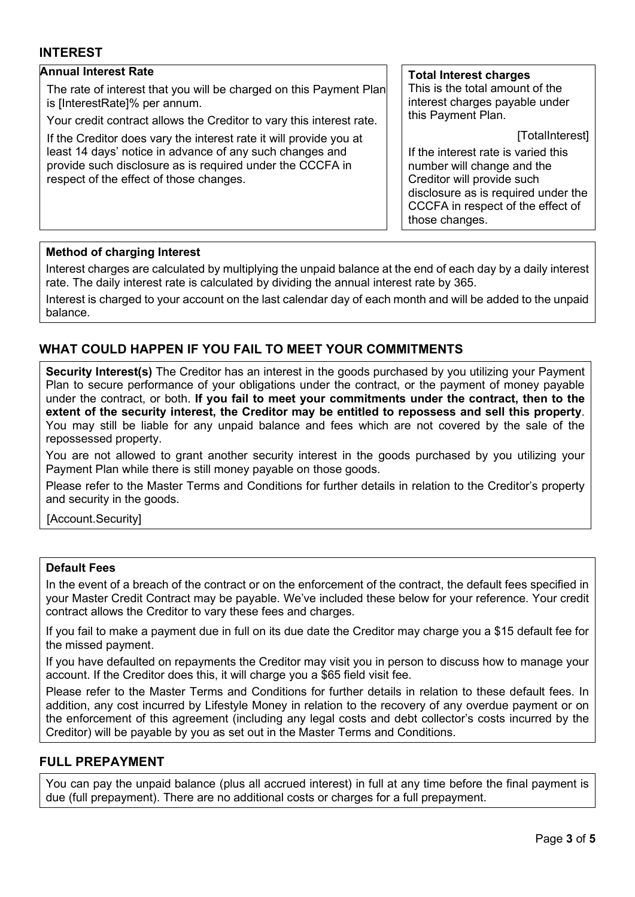### **INTEREST**

#### **Annual Interest Rate**

The rate of interest that you will be charged on this Payment Plan is [InterestRate]% per annum.

Your credit contract allows the Creditor to vary this interest rate.

If the Creditor does vary the interest rate it will provide you at least 14 days' notice in advance of any such changes and provide such disclosure as is required under the CCCFA in respect of the effect of those changes.

#### **Total Interest charges**

This is the total amount of the interest charges payable under this Payment Plan.

[TotalInterest]

If the interest rate is varied this number will change and the Creditor will provide such disclosure as is required under the CCCFA in respect of the effect of those changes.

#### **Method of charging Interest**

Interest charges are calculated by multiplying the unpaid balance at the end of each day by a daily interest rate. The daily interest rate is calculated by dividing the annual interest rate by 365.

Interest is charged to your account on the last calendar day of each month and will be added to the unpaid balance.

### **WHAT COULD HAPPEN IF YOU FAIL TO MEET YOUR COMMITMENTS**

**Security Interest(s)** The Creditor has an interest in the goods purchased by you utilizing your Payment Plan to secure performance of your obligations under the contract, or the payment of money payable under the contract, or both. **If you fail to meet your commitments under the contract, then to the extent of the security interest, the Creditor may be entitled to repossess and sell this property**. You may still be liable for any unpaid balance and fees which are not covered by the sale of the repossessed property.

You are not allowed to grant another security interest in the goods purchased by you utilizing your Payment Plan while there is still money payable on those goods.

Please refer to the Master Terms and Conditions for further details in relation to the Creditor's property and security in the goods.

[Account.Security]

#### **Default Fees**

In the event of a breach of the contract or on the enforcement of the contract, the default fees specified in your Master Credit Contract may be payable. We've included these below for your reference. Your credit contract allows the Creditor to vary these fees and charges.

If you fail to make a payment due in full on its due date the Creditor may charge you a \$15 default fee for the missed payment.

If you have defaulted on repayments the Creditor may visit you in person to discuss how to manage your account. If the Creditor does this, it will charge you a \$65 field visit fee.

Please refer to the Master Terms and Conditions for further details in relation to these default fees. In addition, any cost incurred by Lifestyle Money in relation to the recovery of any overdue payment or on the enforcement of this agreement (including any legal costs and debt collector's costs incurred by the Creditor) will be payable by you as set out in the Master Terms and Conditions.

#### **FULL PREPAYMENT**

You can pay the unpaid balance (plus all accrued interest) in full at any time before the final payment is due (full prepayment). There are no additional costs or charges for a full prepayment.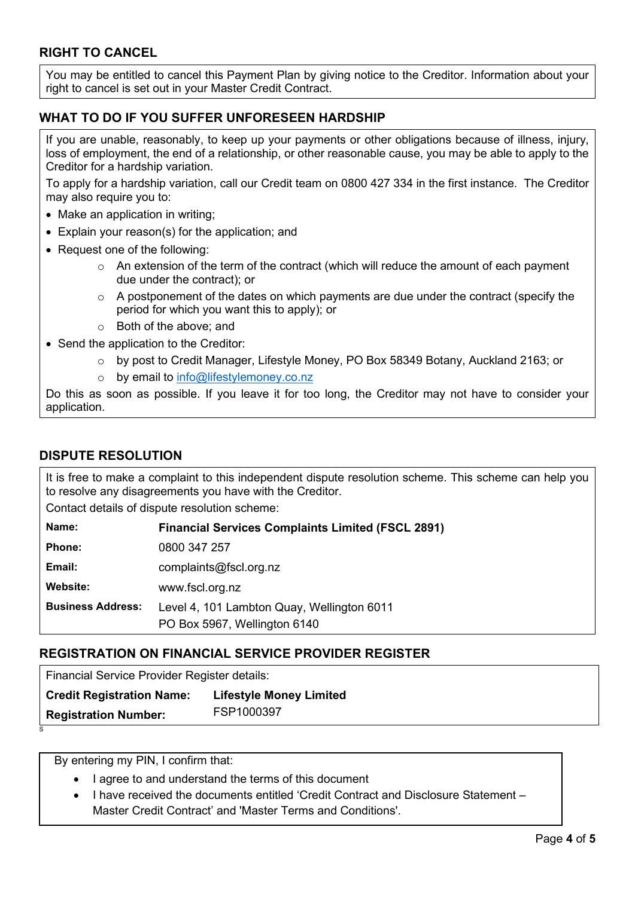# **RIGHT TO CANCEL**

You may be entitled to cancel this Payment Plan by giving notice to the Creditor. Information about your right to cancel is set out in your Master Credit Contract.

# **WHAT TO DO IF YOU SUFFER UNFORESEEN HARDSHIP**

If you are unable, reasonably, to keep up your payments or other obligations because of illness, injury, loss of employment, the end of a relationship, or other reasonable cause, you may be able to apply to the Creditor for a hardship variation.

To apply for a hardship variation, call our Credit team on 0800 427 334 in the first instance. The Creditor may also require you to:

- Make an application in writing;
- Explain your reason(s) for the application; and
- Request one of the following:
	- $\circ$  An extension of the term of the contract (which will reduce the amount of each payment due under the contract); or
	- $\circ$  A postponement of the dates on which payments are due under the contract (specify the period for which you want this to apply); or
	- o Both of the above; and
- Send the application to the Creditor:
	- o by post to Credit Manager, Lifestyle Money, PO Box 58349 Botany, Auckland 2163; or
	- o by email to [info@lifestylemoney.co.nz](mailto:creditadmin@lifestylemoney.co.nz)

Do this as soon as possible. If you leave it for too long, the Creditor may not have to consider your application.

## **DISPUTE RESOLUTION**

It is free to make a complaint to this independent dispute resolution scheme. This scheme can help you to resolve any disagreements you have with the Creditor.

Contact details of dispute resolution scheme:

| Name:                    | <b>Financial Services Complaints Limited (FSCL 2891)</b>                   |
|--------------------------|----------------------------------------------------------------------------|
| <b>Phone:</b>            | 0800 347 257                                                               |
| Email:                   | complaints@fscl.org.nz                                                     |
| Website:                 | www.fscl.org.nz                                                            |
| <b>Business Address:</b> | Level 4, 101 Lambton Quay, Wellington 6011<br>PO Box 5967, Wellington 6140 |

### **REGISTRATION ON FINANCIAL SERVICE PROVIDER REGISTER**

Financial Service Provider Register details:

| <b>Credit Registration Name:</b> | <b>Lifestyle Money Limited</b> |
|----------------------------------|--------------------------------|
| <b>Registration Number:</b>      | FSP1000397                     |

By entering my PIN, I confirm that:

S

- I agree to and understand the terms of this document
- I have received the documents entitled 'Credit Contract and Disclosure Statement Master Credit Contract' and 'Master Terms and Conditions'.